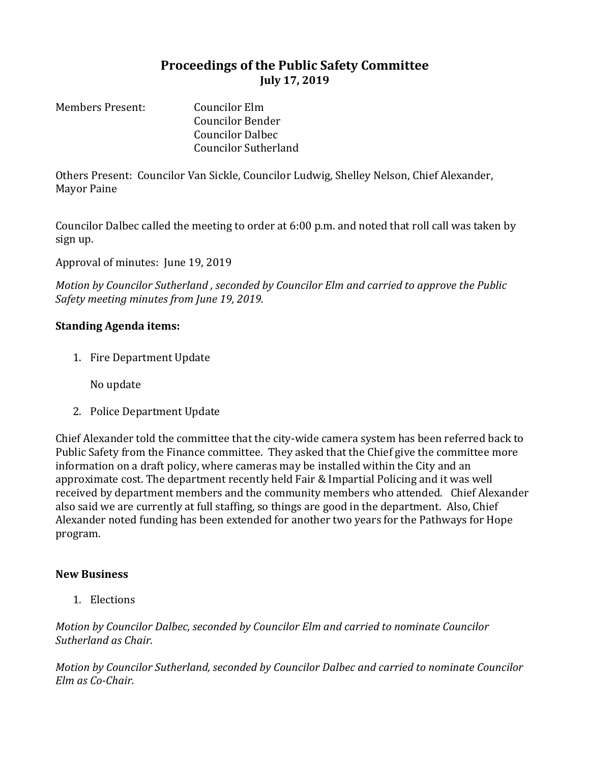## **Proceedings of the Public Safety Committee July 17, 2019**

Members Present: Councilor Elm Councilor Bender Councilor Dalbec Councilor Sutherland

Others Present: Councilor Van Sickle, Councilor Ludwig, Shelley Nelson, Chief Alexander, Mayor Paine

Councilor Dalbec called the meeting to order at 6:00 p.m. and noted that roll call was taken by sign up.

Approval of minutes: June 19, 2019

*Motion by Councilor Sutherland , seconded by Councilor Elm and carried to approve the Public Safety meeting minutes from June 19, 2019.*

## **Standing Agenda items:**

1. Fire Department Update

No update

2. Police Department Update

Chief Alexander told the committee that the city-wide camera system has been referred back to Public Safety from the Finance committee. They asked that the Chief give the committee more information on a draft policy, where cameras may be installed within the City and an approximate cost. The department recently held Fair & Impartial Policing and it was well received by department members and the community members who attended. Chief Alexander also said we are currently at full staffing, so things are good in the department. Also, Chief Alexander noted funding has been extended for another two years for the Pathways for Hope program.

## **New Business**

1. Elections

*Motion by Councilor Dalbec, seconded by Councilor Elm and carried to nominate Councilor Sutherland as Chair.* 

*Motion by Councilor Sutherland, seconded by Councilor Dalbec and carried to nominate Councilor Elm as Co-Chair.*